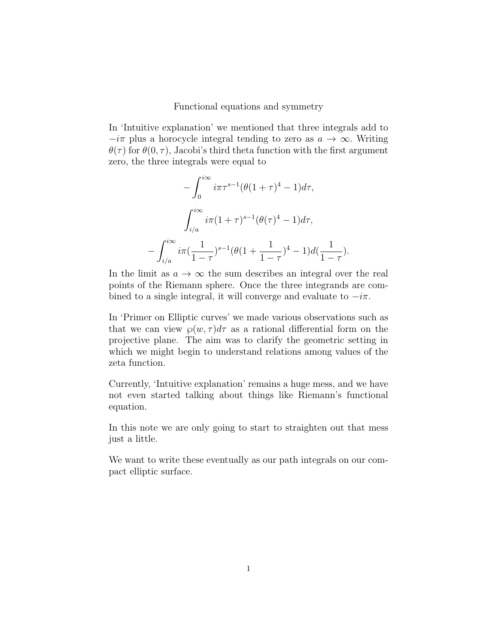Functional equations and symmetry

In 'Intuitive explanation' we mentioned that three integrals add to  $-i\pi$  plus a horocycle integral tending to zero as  $a \to \infty$ . Writing  $\theta(\tau)$  for  $\theta(0, \tau)$ , Jacobi's third theta function with the first argument zero, the three integrals were equal to

$$
-\int_0^{i\infty} i\pi \tau^{s-1} (\theta (1+\tau)^4 - 1) d\tau,
$$

$$
\int_{i/a}^{i\infty} i\pi (1+\tau)^{s-1} (\theta (\tau)^4 - 1) d\tau,
$$

$$
-\int_{i/a}^{i\infty} i\pi (\frac{1}{1-\tau})^{s-1} (\theta (1+\frac{1}{1-\tau})^4 - 1) d(\frac{1}{1-\tau}).
$$

In the limit as  $a \to \infty$  the sum describes an integral over the real points of the Riemann sphere. Once the three integrands are combined to a single integral, it will converge and evaluate to  $-i\pi$ .

In 'Primer on Elliptic curves' we made various observations such as that we can view  $\wp(w, \tau) d\tau$  as a rational differential form on the projective plane. The aim was to clarify the geometric setting in which we might begin to understand relations among values of the zeta function.

Currently, 'Intuitive explanation' remains a huge mess, and we have not even started talking about things like Riemann's functional equation.

In this note we are only going to start to straighten out that mess just a little.

We want to write these eventually as our path integrals on our compact elliptic surface.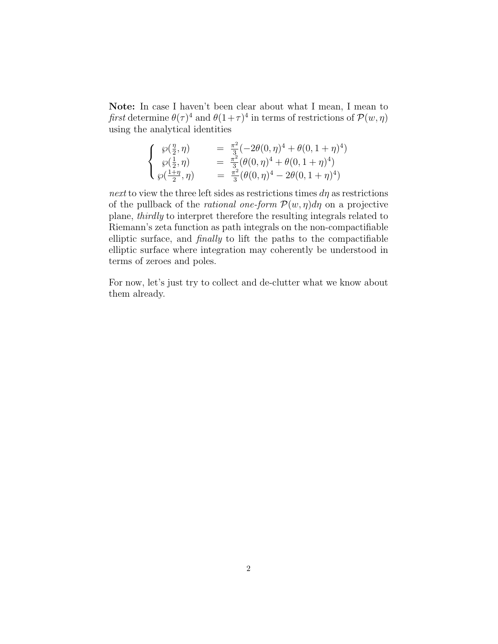Note: In case I haven't been clear about what I mean, I mean to first determine  $\theta(\tau)^4$  and  $\theta(1+\tau)^4$  in terms of restrictions of  $\mathcal{P}(w,\eta)$ using the analytical identities

$$
\begin{cases}\n\wp(\frac{\eta}{2}, \eta) & = \frac{\pi^2}{3}(-2\theta(0, \eta)^4 + \theta(0, 1 + \eta)^4) \\
\wp(\frac{1}{2}, \eta) & = \frac{\pi^2}{3}(\theta(0, \eta)^4 + \theta(0, 1 + \eta)^4) \\
\wp(\frac{1 + \eta}{2}, \eta) & = \frac{\pi^2}{3}(\theta(0, \eta)^4 - 2\theta(0, 1 + \eta)^4)\n\end{cases}
$$

next to view the three left sides as restrictions times  $d\eta$  as restrictions of the pullback of the *rational one-form*  $\mathcal{P}(w, \eta)d\eta$  on a projective plane, thirdly to interpret therefore the resulting integrals related to Riemann's zeta function as path integrals on the non-compactifiable elliptic surface, and finally to lift the paths to the compactifiable elliptic surface where integration may coherently be understood in terms of zeroes and poles.

For now, let's just try to collect and de-clutter what we know about them already.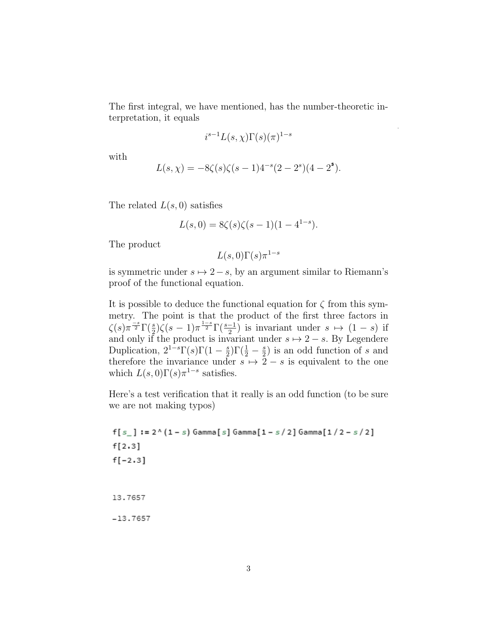The first integral, we have mentioned, has the number-theoretic interpretation, it equals

$$
i^{s-1}L(s,\chi)\Gamma(s)(\pi)^{1-s}
$$

with

$$
L(s, \chi) = -8\zeta(s)\zeta(s-1)4^{-s}(2-2^{s})(4-2^{s}).
$$

The related  $L(s, 0)$  satisfies

$$
L(s,0) = 8\zeta(s)\zeta(s-1)(1-4^{1-s}).
$$

The product

$$
L(s,0)\Gamma(s)\pi^{1-s}
$$

is symmetric under  $s \mapsto 2-s$ , by an argument similar to Riemann's proof of the functional equation.

It is possible to deduce the functional equation for  $\zeta$  from this symmetry. The point is that the product of the first three factors in  $\zeta(s)\pi^{\frac{-s}{2}}\Gamma(\frac{s}{2})\zeta(s-1)\pi^{\frac{1-s}{2}}\Gamma(\frac{s-1}{2})$  is invariant under  $s \mapsto (1-s)$  if and only if the product is invariant under  $s \mapsto 2 - s$ . By Legendere Duplication,  $2^{1-s}\Gamma(s)\Gamma(1-\frac{s}{2})$  $(\frac{3}{2})\Gamma(\frac{1}{2}-\frac{s}{2})$  $(\frac{s}{2})$  is an odd function of s and therefore the invariance under  $s \mapsto 2 - s$  is equivalent to the one which  $L(s,0)\Gamma(s)\pi^{1-s}$  satisfies.

Here's a test verification that it really is an odd function (to be sure we are not making typos)

 $f[s_$  := 2^(1 - s) Gamma[s] Gamma[1 - s/2] Gamma[1/2 - s/2]  $f[2.3]$  $f[-2.3]$ 13.7657  $-13.7657$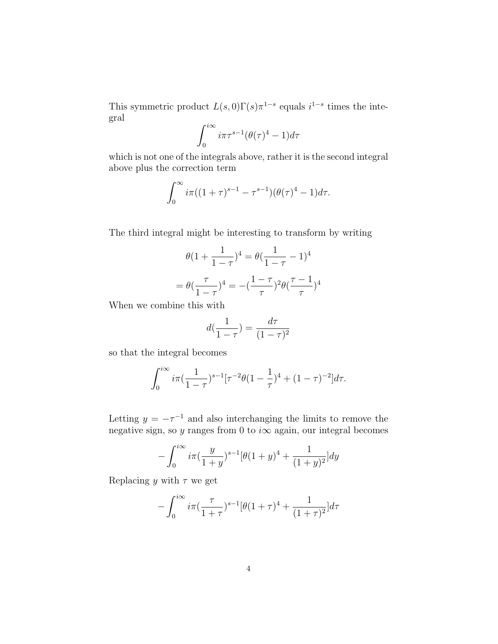This symmetric product  $L(s,0)\Gamma(s)\pi^{1-s}$  equals  $i^{1-s}$  times the integral

$$
\int_0^{i\infty} i\pi\tau^{s-1} (\theta(\tau)^4 - 1)d\tau
$$

which is not one of the integrals above, rather it is the second integral above plus the correction term

$$
\int_0^\infty i\pi((1+\tau)^{s-1}-\tau^{s-1})(\theta(\tau)^4-1)d\tau.
$$

The third integral might be interesting to transform by writing

$$
\theta(1 + \frac{1}{1 - \tau})^4 = \theta(\frac{1}{1 - \tau} - 1)^4
$$

$$
= \theta(\frac{\tau}{1 - \tau})^4 = -(\frac{1 - \tau}{\tau})^2 \theta(\frac{\tau - 1}{\tau})^4
$$

When we combine this with

$$
d(\frac{1}{1-\tau}) = \frac{d\tau}{(1-\tau)^2}
$$

so that the integral becomes

$$
\int_0^{i\infty} i\pi \left(\frac{1}{1-\tau}\right)^{s-1} [\tau^{-2}\theta (1-\frac{1}{\tau})^4 + (1-\tau)^{-2}] d\tau.
$$

Letting  $y = -\tau^{-1}$  and also interchanging the limits to remove the negative sign, so y ranges from 0 to  $i\infty$  again, our integral becomes

$$
-\int_0^{i\infty} i\pi \left(\frac{y}{1+y}\right)^{s-1} [\theta (1+y)^4 + \frac{1}{(1+y)^2}] dy
$$

Replacing y with  $\tau$  we get

$$
-\int_0^{i\infty} i\pi \left(\frac{\tau}{1+\tau}\right)^{s-1} [\theta (1+\tau)^4 + \frac{1}{(1+\tau)^2}]d\tau
$$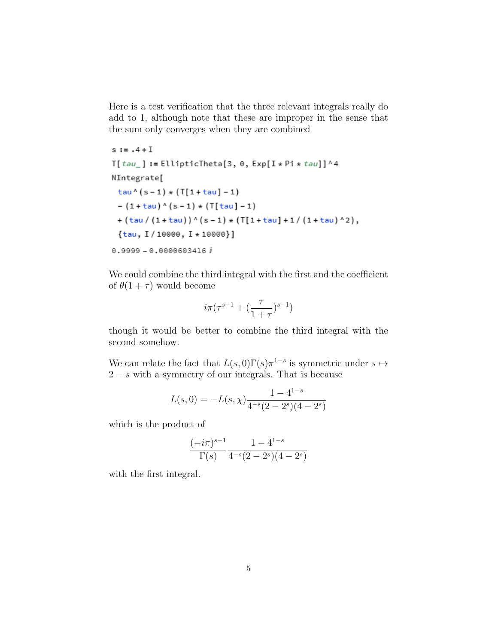Here is a test verification that the three relevant integrals really do add to 1, although note that these are improper in the sense that the sum only converges when they are combined

 $s := .4 + I$  $T[tau_$  := EllipticTheta[3, 0, Exp[I \* Pi \* tau]]^4 NIntegrate[  $tau( s - 1) * (T[1 + tau] - 1)$  $- (1 + \tan)$   $(5 - 1)$   $\star$   $(T[\tan] - 1)$  $+(tan/(1+tau))$   $(5-1)$   $*(T[1+tau]+1/(1+tau)^2)$ ,  $\{tau, I / 10000, I * 10000\}$  $0.9999 - 0.0000603416 i$ 

We could combine the third integral with the first and the coefficient of  $\theta(1+\tau)$  would become

$$
i\pi(\tau^{s-1}+(\frac{\tau}{1+\tau})^{s-1})
$$

though it would be better to combine the third integral with the second somehow.

We can relate the fact that  $L(s,0)\Gamma(s)\pi^{1-s}$  is symmetric under  $s \mapsto$  $2 - s$  with a symmetry of our integrals. That is because

$$
L(s,0) = -L(s,\chi)\frac{1 - 4^{1-s}}{4^{-s}(2 - 2^s)(4 - 2^s)}
$$

which is the product of

$$
\frac{(-i\pi)^{s-1}}{\Gamma(s)}\frac{1-4^{1-s}}{4^{-s}(2-2^s)(4-2^s)}
$$

with the first integral.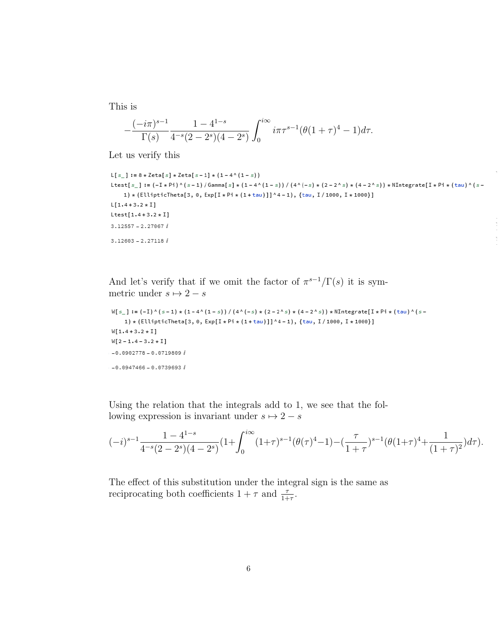This is

$$
-\frac{(-i\pi)^{s-1}}{\Gamma(s)}\frac{1-4^{1-s}}{4^{-s}(2-2^s)(4-2^s)}\int_0^{i\infty}i\pi\tau^{s-1}(\theta(1+\tau)^4-1)d\tau.
$$

Let us verify this

```
L[s_{-}] := 8 * \text{Zeta}[s] * \text{Zeta}[s - 1] * (1 - 4^{\wedge} (1 - s))\texttt{ltest}[s_{-}]:=(-\texttt{I} * \texttt{Pi}) \wedge (s-1)/\texttt{Gamma}[s] \star (1-4 \wedge (1-s)) / (4 \wedge (-s) \star (2-2 \wedge s) \star (4-2 \wedge s)) \star \texttt{NIntegrate}[\texttt{I} * \texttt{Pi} * (\texttt{tau}) \wedge (s-1) \star (3-2 \wedge s) \star (3-2 \wedge s)]1) * (EllipticTheta[3, 0, Exp[I * Pi * (1+tau)]] ^4-1), {tau, I / 1000, I * 1000}]
L[1.4 + 3.2 * I]Letest[1.4+3.2*I]3.12557 - 2.27067 i3.12603 - 2.27118i
```
And let's verify that if we omit the factor of  $\pi^{s-1}/\Gamma(s)$  it is symmetric under  $s \mapsto 2 - s$ 

```
W[s_+] := (-1)^{k}(s-1) * (1-4^{k}(1-s)) / (4^{k}(-s) * (2-2^{k}s) * (4-2^{k}s)) * NIntegrate[I * Pi * (tau)^{k}(s-1)]1) * (EllipticTheta[3, 0, Exp[I * Pi * (1+tau)]] ^4-1), {tau, I/1000, I * 1000}]
W[1.4 + 3.2 * I]W[2 - 1.4 - 3.2 * I]-0.0902778 - 0.0719809 i-0.0947466 - 0.0739693 i
```
Using the relation that the integrals add to 1, we see that the following expression is invariant under  $s \mapsto 2-s$ 

$$
(-i)^{s-1} \frac{1 - 4^{1-s}}{4^{-s}(2-2^s)(4-2^s)} \left(1 + \int_0^{i\infty} (1+\tau)^{s-1} (\theta(\tau)^4 - 1) - \left(\frac{\tau}{1+\tau}\right)^{s-1} (\theta(1+\tau)^4 + \frac{1}{(1+\tau)^2}) d\tau\right).
$$

The effect of this substitution under the integral sign is the same as reciprocating both coefficients  $1 + \tau$  and  $\frac{\tau}{1+\tau}$ .